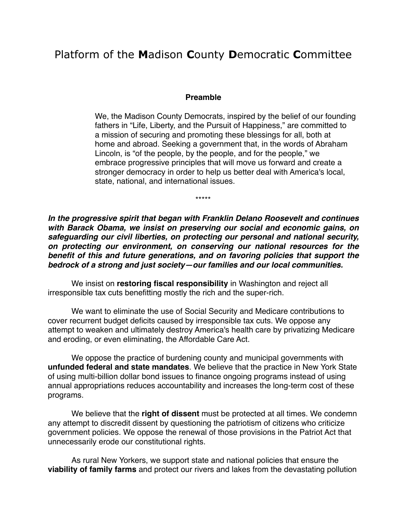# Platform of the **M**adison **C**ounty **D**emocratic **C**ommittee

#### **Preamble**

We, the Madison County Democrats, inspired by the belief of our founding fathers in "Life, Liberty, and the Pursuit of Happiness," are committed to a mission of securing and promoting these blessings for all, both at home and abroad. Seeking a government that, in the words of Abraham Lincoln, is "of the people, by the people, and for the people," we embrace progressive principles that will move us forward and create a stronger democracy in order to help us better deal with America's local, state, national, and international issues.

\*\*\*\*\*

*In the progressive spirit that began with Franklin Delano Roosevelt and continues with Barack Obama, we insist on preserving our social and economic gains, on safeguarding our civil liberties, on protecting our personal and national security, on protecting our environment, on conserving our national resources for the benefit of this and future generations, and on favoring policies that support the bedrock of a strong and just society—our families and our local communities.*

 We insist on **restoring fiscal responsibility** in Washington and reject all irresponsible tax cuts benefitting mostly the rich and the super-rich.

We want to eliminate the use of Social Security and Medicare contributions to cover recurrent budget deficits caused by irresponsible tax cuts. We oppose any attempt to weaken and ultimately destroy America's health care by privatizing Medicare and eroding, or even eliminating, the Affordable Care Act.

We oppose the practice of burdening county and municipal governments with **unfunded federal and state mandates**. We believe that the practice in New York State of using multi-billion dollar bond issues to finance ongoing programs instead of using annual appropriations reduces accountability and increases the long-term cost of these programs.

We believe that the **right of dissent** must be protected at all times. We condemn any attempt to discredit dissent by questioning the patriotism of citizens who criticize government policies. We oppose the renewal of those provisions in the Patriot Act that unnecessarily erode our constitutional rights.

As rural New Yorkers, we support state and national policies that ensure the **viability of family farms** and protect our rivers and lakes from the devastating pollution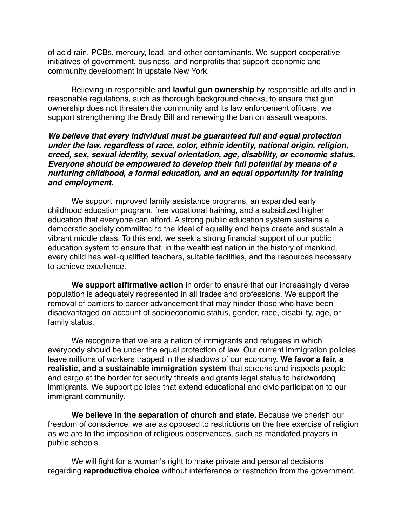of acid rain, PCBs, mercury, lead, and other contaminants. We support cooperative initiatives of government, business, and nonprofits that support economic and community development in upstate New York.

Believing in responsible and **lawful gun ownership** by responsible adults and in reasonable regulations, such as thorough background checks, to ensure that gun ownership does not threaten the community and its law enforcement officers, we support strengthening the Brady Bill and renewing the ban on assault weapons.

### *We believe that every individual must be guaranteed full and equal protection under the law, regardless of race, color, ethnic identity, national origin, religion, creed, sex, sexual identity, sexual orientation, age, disability, or economic status. Everyone should be empowered to develop their full potential by means of a nurturing childhood, a formal education, and an equal opportunity for training and employment.*

We support improved family assistance programs, an expanded early childhood education program, free vocational training, and a subsidized higher education that everyone can afford. A strong public education system sustains a democratic society committed to the ideal of equality and helps create and sustain a vibrant middle class. To this end, we seek a strong financial support of our public education system to ensure that, in the wealthiest nation in the history of mankind, every child has well-qualified teachers, suitable facilities, and the resources necessary to achieve excellence.

**We support affirmative action** in order to ensure that our increasingly diverse population is adequately represented in all trades and professions. We support the removal of barriers to career advancement that may hinder those who have been disadvantaged on account of socioeconomic status, gender, race, disability, age, or family status.

We recognize that we are a nation of immigrants and refugees in which everybody should be under the equal protection of law. Our current immigration policies leave millions of workers trapped in the shadows of our economy. **We favor a fair, a realistic, and a sustainable immigration system** that screens and inspects people and cargo at the border for security threats and grants legal status to hardworking immigrants. We support policies that extend educational and civic participation to our immigrant community.

**We believe in the separation of church and state.** Because we cherish our freedom of conscience, we are as opposed to restrictions on the free exercise of religion as we are to the imposition of religious observances, such as mandated prayers in public schools.

We will fight for a woman's right to make private and personal decisions regarding **reproductive choice** without interference or restriction from the government.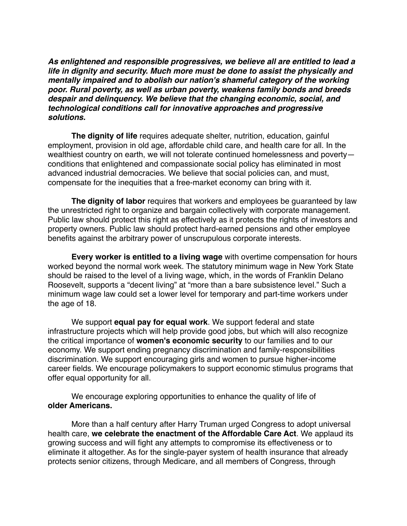*As enlightened and responsible progressives, we believe all are entitled to lead a life in dignity and security. Much more must be done to assist the physically and mentally impaired and to abolish our nation's shameful category of the working poor. Rural poverty, as well as urban poverty, weakens family bonds and breeds despair and delinquency. We believe that the changing economic, social, and technological conditions call for innovative approaches and progressive solutions.*

**The dignity of life** requires adequate shelter, nutrition, education, gainful employment, provision in old age, affordable child care, and health care for all. In the wealthiest country on earth, we will not tolerate continued homelessness and poverty conditions that enlightened and compassionate social policy has eliminated in most advanced industrial democracies. We believe that social policies can, and must, compensate for the inequities that a free-market economy can bring with it.

**The dignity of labor** requires that workers and employees be guaranteed by law the unrestricted right to organize and bargain collectively with corporate management. Public law should protect this right as effectively as it protects the rights of investors and property owners. Public law should protect hard-earned pensions and other employee benefits against the arbitrary power of unscrupulous corporate interests.

**Every worker is entitled to a living wage** with overtime compensation for hours worked beyond the normal work week. The statutory minimum wage in New York State should be raised to the level of a living wage, which, in the words of Franklin Delano Roosevelt, supports a "decent living" at "more than a bare subsistence level." Such a minimum wage law could set a lower level for temporary and part-time workers under the age of 18.

We support **equal pay for equal work**. We support federal and state infrastructure projects which will help provide good jobs, but which will also recognize the critical importance of **women's economic security** to our families and to our economy. We support ending pregnancy discrimination and family-responsibilities discrimination. We support encouraging girls and women to pursue higher-income career fields. We encourage policymakers to support economic stimulus programs that offer equal opportunity for all.

We encourage exploring opportunities to enhance the quality of life of **older Americans.**

More than a half century after Harry Truman urged Congress to adopt universal health care, **we celebrate the enactment of the Affordable Care Act**. We applaud its growing success and will fight any attempts to compromise its effectiveness or to eliminate it altogether. As for the single-payer system of health insurance that already protects senior citizens, through Medicare, and all members of Congress, through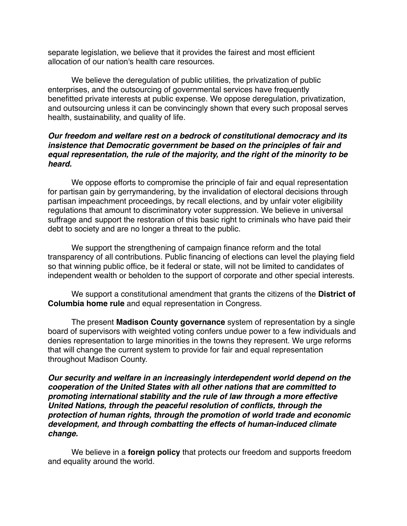separate legislation, we believe that it provides the fairest and most efficient allocation of our nation's health care resources.

We believe the deregulation of public utilities, the privatization of public enterprises, and the outsourcing of governmental services have frequently benefitted private interests at public expense. We oppose deregulation, privatization, and outsourcing unless it can be convincingly shown that every such proposal serves health, sustainability, and quality of life.

## *Our freedom and welfare rest on a bedrock of constitutional democracy and its insistence that Democratic government be based on the principles of fair and equal representation, the rule of the majority, and the right of the minority to be heard.*

We oppose efforts to compromise the principle of fair and equal representation for partisan gain by gerrymandering, by the invalidation of electoral decisions through partisan impeachment proceedings, by recall elections, and by unfair voter eligibility regulations that amount to discriminatory voter suppression. We believe in universal suffrage and support the restoration of this basic right to criminals who have paid their debt to society and are no longer a threat to the public.

We support the strengthening of campaign finance reform and the total transparency of all contributions. Public financing of elections can level the playing field so that winning public office, be it federal or state, will not be limited to candidates of independent wealth or beholden to the support of corporate and other special interests.

We support a constitutional amendment that grants the citizens of the **District of Columbia home rule** and equal representation in Congress.

The present **Madison County governance** system of representation by a single board of supervisors with weighted voting confers undue power to a few individuals and denies representation to large minorities in the towns they represent. We urge reforms that will change the current system to provide for fair and equal representation throughout Madison County.

*Our security and welfare in an increasingly interdependent world depend on the cooperation of the United States with all other nations that are committed to promoting international stability and the rule of law through a more effective United Nations, through the peaceful resolution of conflicts, through the protection of human rights, through the promotion of world trade and economic development, and through combatting the effects of human-induced climate change.*

We believe in a **foreign policy** that protects our freedom and supports freedom and equality around the world.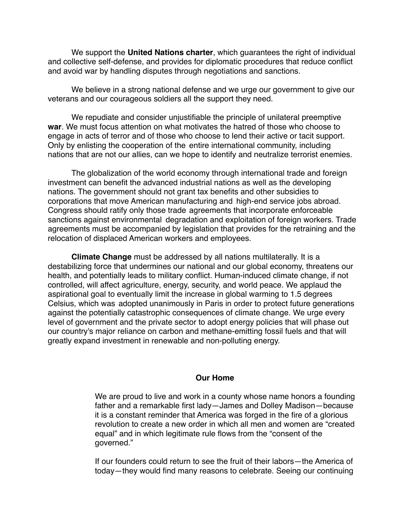We support the **United Nations charter**, which guarantees the right of individual and collective self-defense, and provides for diplomatic procedures that reduce conflict and avoid war by handling disputes through negotiations and sanctions.

We believe in a strong national defense and we urge our government to give our veterans and our courageous soldiers all the support they need.

We repudiate and consider unjustifiable the principle of unilateral preemptive **war**. We must focus attention on what motivates the hatred of those who choose to engage in acts of terror and of those who choose to lend their active or tacit support. Only by enlisting the cooperation of the entire international community, including nations that are not our allies, can we hope to identify and neutralize terrorist enemies.

The globalization of the world economy through international trade and foreign investment can benefit the advanced industrial nations as well as the developing nations. The government should not grant tax benefits and other subsidies to corporations that move American manufacturing and high-end service jobs abroad. Congress should ratify only those trade agreements that incorporate enforceable sanctions against environmental degradation and exploitation of foreign workers. Trade agreements must be accompanied by legislation that provides for the retraining and the relocation of displaced American workers and employees.

**Climate Change** must be addressed by all nations multilaterally. It is a destabilizing force that undermines our national and our global economy, threatens our health, and potentially leads to military conflict. Human-induced climate change, if not controlled, will affect agriculture, energy, security, and world peace. We applaud the aspirational goal to eventually limit the increase in global warming to 1.5 degrees Celsius, which was adopted unanimously in Paris in order to protect future generations against the potentially catastrophic consequences of climate change. We urge every level of government and the private sector to adopt energy policies that will phase out our country's major reliance on carbon and methane-emitting fossil fuels and that will greatly expand investment in renewable and non-polluting energy.

#### **Our Home**

We are proud to live and work in a county whose name honors a founding father and a remarkable first lady—James and Dolley Madison—because it is a constant reminder that America was forged in the fire of a glorious revolution to create a new order in which all men and women are "created equal" and in which legitimate rule flows from the "consent of the governed."

If our founders could return to see the fruit of their labors—the America of today—they would find many reasons to celebrate. Seeing our continuing